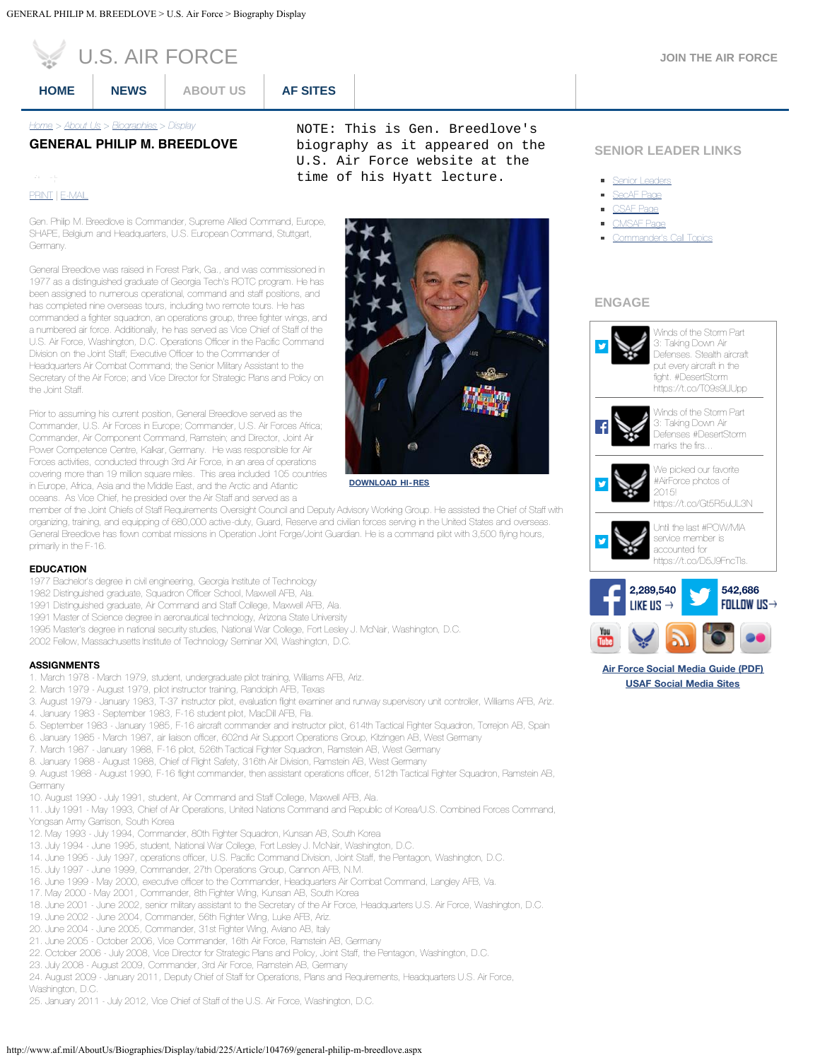|  | <b>JOIN THE AIR FORCE</b> |
|--|---------------------------|
|  |                           |

<span id="page-0-0"></span>

|  | U.S. AIR FORCE |
|--|----------------|
|  |                |

**[HOME](http://www.af.mil/Home.aspx) [NEWS](http://www.af.mil/News.aspx) [ABOUT US](http://www.af.mil/AboutUs.aspx) [AF SITES](http://www.af.mil/AFSites.aspx)**

*[Home](http://www.af.mil/) > [About Us](http://www.af.mil/AboutUs.aspx) > [Biographies](http://www.af.mil/AboutUs/Biographies.aspx) > Display*

# **GENERAL PHILIP M. BREEDLOVE**

 $\mathcal{G}=\mathbb{H}$ [PRINT](http://www.af.mil/DesktopModules/ArticleCS/Print.aspx?PortalId=1&ModuleId=858&Article=104769) | [E-MAIL](mailto:?Subject=GENERAL PHILIP M. BREEDLOVE%20-%20U.S. Air Force&body=Here%20is%20an%20article%20I%20think%20you%20will%20find%20interesting:%20http://www.af.mil/AboutUs/Biographies/Display/tabid/225/Article/104769/general-philip-m-breedlove.aspx)

Gen. Philip M. Breedlove is Commander, Supreme Allied Command, Europe, SHAPE, Belgium and Headquarters, U.S. European Command, Stuttgart, Germany.

General Breedlove was raised in Forest Park, Ga., and was commissioned in 1977 as a distinguished graduate of Georgia Tech's ROTC program. He has been assigned to numerous operational, command and staff positions, and has completed nine overseas tours, including two remote tours. He has commanded a fighter squadron, an operations group, three fighter wings, and a numbered air force. Additionally, he has served as Vice Chief of Staff of the U.S. Air Force, Washington, D.C. Operations Officer in the Pacific Command Division on the Joint Staff; Executive Officer to the Commander of Headquarters Air Combat Command; the Senior Military Assistant to the Secretary of the Air Force; and Vice Director for Strategic Plans and Policy on the Joint Staff.

Prior to assuming his current position, General Breedlove served as the Commander, U.S. Air Forces in Europe; Commander, U.S. Air Forces Africa; Commander, Air Component Command, Ramstein; and Director, Joint Air Power Competence Centre, Kalkar, Germany. He was responsible for Air Forces activities, conducted through 3rd Air Force, in an area of operations covering more than 19 million square miles. This area included 105 countries in Europe, Africa, Asia and the Middle East, and the Arctic and Atlantic oceans. As Vice Chief, he presided over the Air Staff and served as a

NOTE: This is Gen. Breedlove's biography as it appeared on the U.S. Air Force website at the time of his Hyatt lecture.



**[DOWNLOAD HI-RES](http://media.defense.gov/2012/Nov/26/2000094410/-1/-1/0/121126-F-JZ007-560.JPG)**

member of the Joint Chiefs of Staff Requirements Oversight Council and Deputy Advisory Working Group. He assisted the Chief of Staff with organizing, training, and equipping of 680,000 active-duty, Guard, Reserve and civilian forces serving in the United States and overseas. General Breedlove has flown combat missions in Operation Joint Forge/Joint Guardian. He is a command pilot with 3,500 flying hours, primarily in the F-16.

#### **EDUCATION**

- 1977 Bachelor's degree in civil engineering, Georgia Institute of Technology
- 1982 Distinguished graduate, Squadron Officer School, Maxwell AFB, Ala.
- 1991 Distinguished graduate, Air Command and Staff College, Maxwell AFB, Ala.
- 1991 Master of Science degree in aeronautical technology, Arizona State University
- 1995 Master's degree in national security studies, National War College, Fort Lesley J. McNair, Washington, D.C.
- 2002 Fellow, Massachusetts Institute of Technology Seminar XXI, Washington, D.C.

#### **ASSIGNMENTS**

- 1. March 1978 March 1979, student, undergraduate pilot training, Williams AFB, Ariz.
- 2. March 1979 August 1979, pilot instructor training, Randolph AFB, Texas
- 3. August 1979 January 1983, T-37 instructor pilot, evaluation flight examiner and runway supervisory unit controller, Williams AFB, Ariz.
- 4. January 1983 September 1983, F-16 student pilot, MacDill AFB, Fla.
- 5. September 1983 January 1985, F-16 aircraft commander and instructor pilot, 614th Tactical Fighter Squadron, Torrejon AB, Spain
- 6. January 1985 March 1987, air liaison officer, 602nd Air Support Operations Group, Kitzingen AB, West Germany
- 7. March 1987 January 1988, F-16 pilot, 526th Tactical Fighter Squadron, Ramstein AB, West Germany
- 8. January 1988 August 1988, Chief of Flight Safety, 316th Air Division, Ramstein AB, West Germany

9. August 1988 - August 1990, F-16 flight commander, then assistant operations officer, 512th Tactical Fighter Squadron, Ramstein AB, **Germany** 

10. August 1990 - July 1991, student, Air Command and Staff College, Maxwell AFB, Ala.

11. July 1991 - May 1993, Chief of Air Operations, United Nations Command and Republic of Korea/U.S. Combined Forces Command, Yongsan Army Garrison, South Korea

- 12. May 1993 July 1994, Commander, 80th Fighter Squadron, Kunsan AB, South Korea
- 13. July 1994 June 1995, student, National War College, Fort Lesley J. McNair, Washington, D.C.
- 14. June 1995 July 1997, operations officer, U.S. Pacific Command Division, Joint Staff, the Pentagon, Washington, D.C.
- 15. July 1997 June 1999, Commander, 27th Operations Group, Cannon AFB, N.M.
- 16. June 1999 May 2000, executive officer to the Commander, Headquarters Air Combat Command, Langley AFB, Va.
- 17. May 2000 May 2001, Commander, 8th Fighter Wing, Kunsan AB, South Korea
- 18. June 2001 June 2002, senior military assistant to the Secretary of the Air Force, Headquarters U.S. Air Force, Washington, D.C.
- 19. June 2002 June 2004, Commander, 56th Fighter Wing, Luke AFB, Ariz.
- 20. June 2004 June 2005, Commander, 31st Fighter Wing, Aviano AB, Italy
- 21. June 2005 October 2006, Vice Commander, 16th Air Force, Ramstein AB, Germany
- 22. October 2006 July 2008, Vice Director for Strategic Plans and Policy, Joint Staff, the Pentagon, Washington, D.C.
- 23. July 2008 August 2009, Commander, 3rd Air Force, Ramstein AB, Germany
- 24. August 2009 January 2011, Deputy Chief of Staff for Operations, Plans and Requirements, Headquarters U.S. Air Force, Washington, D.C.

25. January 2011 - July 2012, Vice Chief of Staff of the U.S. Air Force, Washington, D.C.

## **SENIOR LEADER LINKS**

- **Burger** [Senior Leaders](http://www.af.mil/AboutUs/AirForceSeniorLeaders.aspx)
- [SecAF Page](http://www.af.mil/AboutUs/AirForceSeniorLeaders/SECAF.aspx)
- **[CSAF Page](http://www.af.mil/AboutUs/AirForceSeniorLeaders/CSAF.aspx)**
- **[CMSAF Page](http://www.af.mil/AboutUs/AirForceSeniorLeaders/CMSAF.aspx)**
- [Commander's Call Topics](http://www.af.mil/AboutUs/CommandersCallTopics.aspx)

# **ENGAGE**



[Winds of the Storm Part](http://www.facebook.com/119105629988_10154396768024989) [3: Taking Down Air](http://www.facebook.com/119105629988_10154396768024989) [Defenses #DesertStorm](http://www.facebook.com/119105629988_10154396768024989)



[We picked our favorite](https://twitter.com/usairforce/statuses/687401316956508160) [#AirForce photos of](https://twitter.com/usairforce/statuses/687401316956508160)

[2015!](https://twitter.com/usairforce/statuses/687401316956508160) [https://t.co/Gt5R5uUL3N](https://twitter.com/usairforce/statuses/687401316956508160)



[service member is](https://twitter.com/usairforce/statuses/687363635400687616) [https://t.co/D5J9FncTIs.](https://twitter.com/usairforce/statuses/687363635400687616)



## **[Air Force Social Media Guide \(PDF\)](http://www.af.mil/Portals/1/documents/SocialMediaGuide2013.pdf) [USAF Social Media Sites](http://www.af.mil/afsites/socialmediasites.aspx)**